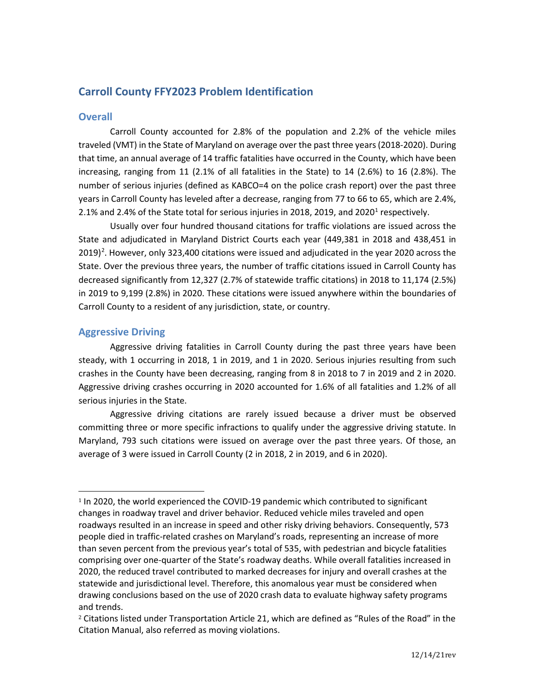# **Carroll County FFY2023 Problem Identification**

# **Overall**

Carroll County accounted for 2.8% of the population and 2.2% of the vehicle miles traveled (VMT) in the State of Maryland on average over the past three years (2018-2020). During that time, an annual average of 14 traffic fatalities have occurred in the County, which have been increasing, ranging from 11 (2.1% of all fatalities in the State) to 14 (2.6%) to 16 (2.8%). The number of serious injuries (defined as KABCO=4 on the police crash report) over the past three years in Carroll County has leveled after a decrease, ranging from 77 to 66 to 65, which are 2.4%, 2.[1](#page-0-0)% and 2.4% of the State total for serious injuries in 2018, 2019, and 2020 $^1$  respectively.

Usually over four hundred thousand citations for traffic violations are issued across the State and adjudicated in Maryland District Courts each year (449,381 in 2018 and 438,451 in  $2019)$  $2019)$ <sup>2</sup>. However, only 323,400 citations were issued and adjudicated in the year 2020 across the State. Over the previous three years, the number of traffic citations issued in Carroll County has decreased significantly from 12,327 (2.7% of statewide traffic citations) in 2018 to 11,174 (2.5%) in 2019 to 9,199 (2.8%) in 2020. These citations were issued anywhere within the boundaries of Carroll County to a resident of any jurisdiction, state, or country.

# **Aggressive Driving**

Aggressive driving fatalities in Carroll County during the past three years have been steady, with 1 occurring in 2018, 1 in 2019, and 1 in 2020. Serious injuries resulting from such crashes in the County have been decreasing, ranging from 8 in 2018 to 7 in 2019 and 2 in 2020. Aggressive driving crashes occurring in 2020 accounted for 1.6% of all fatalities and 1.2% of all serious injuries in the State.

Aggressive driving citations are rarely issued because a driver must be observed committing three or more specific infractions to qualify under the aggressive driving statute. In Maryland, 793 such citations were issued on average over the past three years. Of those, an average of 3 were issued in Carroll County (2 in 2018, 2 in 2019, and 6 in 2020).

<span id="page-0-0"></span><sup>1</sup> In 2020, the world experienced the COVID-19 pandemic which contributed to significant changes in roadway travel and driver behavior. Reduced vehicle miles traveled and open roadways resulted in an increase in speed and other risky driving behaviors. Consequently, 573 people died in traffic-related crashes on Maryland's roads, representing an increase of more than seven percent from the previous year's total of 535, with pedestrian and bicycle fatalities comprising over one-quarter of the State's roadway deaths. While overall fatalities increased in 2020, the reduced travel contributed to marked decreases for injury and overall crashes at the statewide and jurisdictional level. Therefore, this anomalous year must be considered when drawing conclusions based on the use of 2020 crash data to evaluate highway safety programs and trends.

<span id="page-0-1"></span><sup>&</sup>lt;sup>2</sup> Citations listed under Transportation Article 21, which are defined as "Rules of the Road" in the Citation Manual, also referred as moving violations.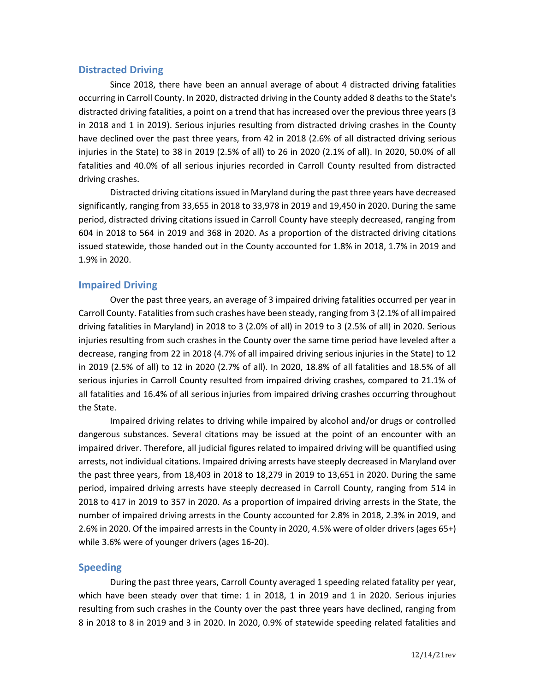### **Distracted Driving**

Since 2018, there have been an annual average of about 4 distracted driving fatalities occurring in Carroll County. In 2020, distracted driving in the County added 8 deaths to the State's distracted driving fatalities, a point on a trend that has increased over the previous three years (3 in 2018 and 1 in 2019). Serious injuries resulting from distracted driving crashes in the County have declined over the past three years, from 42 in 2018 (2.6% of all distracted driving serious injuries in the State) to 38 in 2019 (2.5% of all) to 26 in 2020 (2.1% of all). In 2020, 50.0% of all fatalities and 40.0% of all serious injuries recorded in Carroll County resulted from distracted driving crashes.

Distracted driving citations issued in Maryland during the past three years have decreased significantly, ranging from 33,655 in 2018 to 33,978 in 2019 and 19,450 in 2020. During the same period, distracted driving citations issued in Carroll County have steeply decreased, ranging from 604 in 2018 to 564 in 2019 and 368 in 2020. As a proportion of the distracted driving citations issued statewide, those handed out in the County accounted for 1.8% in 2018, 1.7% in 2019 and 1.9% in 2020.

# **Impaired Driving**

Over the past three years, an average of 3 impaired driving fatalities occurred per year in Carroll County. Fatalities from such crashes have been steady, ranging from 3 (2.1% of all impaired driving fatalities in Maryland) in 2018 to 3 (2.0% of all) in 2019 to 3 (2.5% of all) in 2020. Serious injuries resulting from such crashes in the County over the same time period have leveled after a decrease, ranging from 22 in 2018 (4.7% of all impaired driving serious injuries in the State) to 12 in 2019 (2.5% of all) to 12 in 2020 (2.7% of all). In 2020, 18.8% of all fatalities and 18.5% of all serious injuries in Carroll County resulted from impaired driving crashes, compared to 21.1% of all fatalities and 16.4% of all serious injuries from impaired driving crashes occurring throughout the State.

Impaired driving relates to driving while impaired by alcohol and/or drugs or controlled dangerous substances. Several citations may be issued at the point of an encounter with an impaired driver. Therefore, all judicial figures related to impaired driving will be quantified using arrests, not individual citations. Impaired driving arrests have steeply decreased in Maryland over the past three years, from 18,403 in 2018 to 18,279 in 2019 to 13,651 in 2020. During the same period, impaired driving arrests have steeply decreased in Carroll County, ranging from 514 in 2018 to 417 in 2019 to 357 in 2020. As a proportion of impaired driving arrests in the State, the number of impaired driving arrests in the County accounted for 2.8% in 2018, 2.3% in 2019, and 2.6% in 2020. Of the impaired arrests in the County in 2020, 4.5% were of older drivers (ages 65+) while 3.6% were of younger drivers (ages 16-20).

# **Speeding**

During the past three years, Carroll County averaged 1 speeding related fatality per year, which have been steady over that time: 1 in 2018, 1 in 2019 and 1 in 2020. Serious injuries resulting from such crashes in the County over the past three years have declined, ranging from 8 in 2018 to 8 in 2019 and 3 in 2020. In 2020, 0.9% of statewide speeding related fatalities and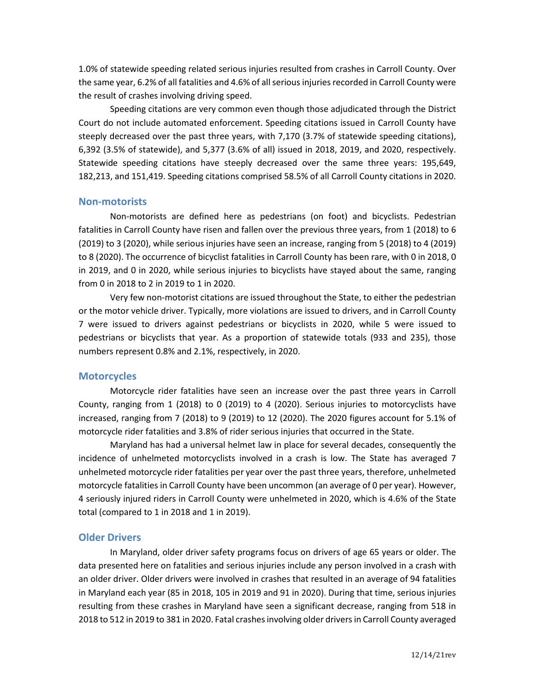1.0% of statewide speeding related serious injuries resulted from crashes in Carroll County. Over the same year, 6.2% of all fatalities and 4.6% of all seriousinjuries recorded in Carroll County were the result of crashes involving driving speed.

Speeding citations are very common even though those adjudicated through the District Court do not include automated enforcement. Speeding citations issued in Carroll County have steeply decreased over the past three years, with 7,170 (3.7% of statewide speeding citations), 6,392 (3.5% of statewide), and 5,377 (3.6% of all) issued in 2018, 2019, and 2020, respectively. Statewide speeding citations have steeply decreased over the same three years: 195,649, 182,213, and 151,419. Speeding citations comprised 58.5% of all Carroll County citations in 2020.

#### **Non-motorists**

Non-motorists are defined here as pedestrians (on foot) and bicyclists. Pedestrian fatalities in Carroll County have risen and fallen over the previous three years, from 1 (2018) to 6 (2019) to 3 (2020), while serious injuries have seen an increase, ranging from 5 (2018) to 4 (2019) to 8 (2020). The occurrence of bicyclist fatalities in Carroll County has been rare, with 0 in 2018, 0 in 2019, and 0 in 2020, while serious injuries to bicyclists have stayed about the same, ranging from 0 in 2018 to 2 in 2019 to 1 in 2020.

Very few non-motorist citations are issued throughout the State, to either the pedestrian or the motor vehicle driver. Typically, more violations are issued to drivers, and in Carroll County 7 were issued to drivers against pedestrians or bicyclists in 2020, while 5 were issued to pedestrians or bicyclists that year. As a proportion of statewide totals (933 and 235), those numbers represent 0.8% and 2.1%, respectively, in 2020.

### **Motorcycles**

Motorcycle rider fatalities have seen an increase over the past three years in Carroll County, ranging from 1 (2018) to 0 (2019) to 4 (2020). Serious injuries to motorcyclists have increased, ranging from 7 (2018) to 9 (2019) to 12 (2020). The 2020 figures account for 5.1% of motorcycle rider fatalities and 3.8% of rider serious injuries that occurred in the State.

Maryland has had a universal helmet law in place for several decades, consequently the incidence of unhelmeted motorcyclists involved in a crash is low. The State has averaged 7 unhelmeted motorcycle rider fatalities per year over the past three years, therefore, unhelmeted motorcycle fatalities in Carroll County have been uncommon (an average of 0 per year). However, 4 seriously injured riders in Carroll County were unhelmeted in 2020, which is 4.6% of the State total (compared to 1 in 2018 and 1 in 2019).

#### **Older Drivers**

In Maryland, older driver safety programs focus on drivers of age 65 years or older. The data presented here on fatalities and serious injuries include any person involved in a crash with an older driver. Older drivers were involved in crashes that resulted in an average of 94 fatalities in Maryland each year (85 in 2018, 105 in 2019 and 91 in 2020). During that time, serious injuries resulting from these crashes in Maryland have seen a significant decrease, ranging from 518 in 2018 to 512 in 2019 to 381 in 2020. Fatal crashes involving older drivers in Carroll County averaged